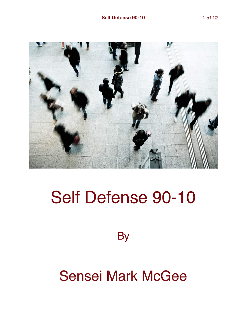

# Self Defense 90-10

**By** 

## Sensei Mark McGee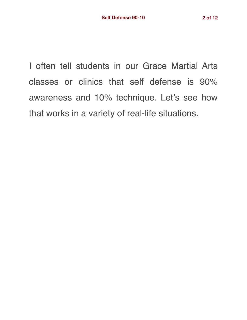I often tell students in our Grace Martial Arts classes or clinics that self defense is 90% awareness and 10% technique. Let's see how that works in a variety of real-life situations.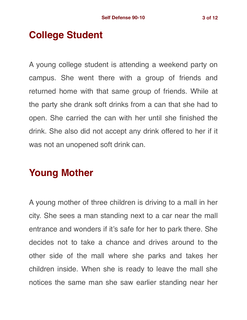## **College Student**

A young college student is attending a weekend party on campus. She went there with a group of friends and returned home with that same group of friends. While at the party she drank soft drinks from a can that she had to open. She carried the can with her until she finished the drink. She also did not accept any drink offered to her if it was not an unopened soft drink can.

## **Young Mother**

A young mother of three children is driving to a mall in her city. She sees a man standing next to a car near the mall entrance and wonders if it's safe for her to park there. She decides not to take a chance and drives around to the other side of the mall where she parks and takes her children inside. When she is ready to leave the mall she notices the same man she saw earlier standing near her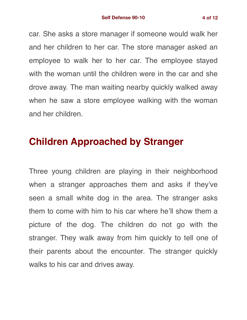car. She asks a store manager if someone would walk her and her children to her car. The store manager asked an employee to walk her to her car. The employee stayed with the woman until the children were in the car and she drove away. The man waiting nearby quickly walked away when he saw a store employee walking with the woman and her children.

#### **Children Approached by Stranger**

Three young children are playing in their neighborhood when a stranger approaches them and asks if they've seen a small white dog in the area. The stranger asks them to come with him to his car where he'll show them a picture of the dog. The children do not go with the stranger. They walk away from him quickly to tell one of their parents about the encounter. The stranger quickly walks to his car and drives away.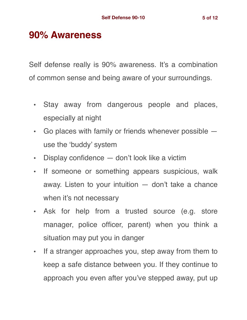#### **90% Awareness**

Self defense really is 90% awareness. It's a combination of common sense and being aware of your surroundings.

- Stay away from dangerous people and places, especially at night
- Go places with family or friends whenever possible use the 'buddy' system
- Display confidence don't look like a victim
- If someone or something appears suspicious, walk away. Listen to your intuition — don't take a chance when it's not necessary
- Ask for help from a trusted source (e.g. store manager, police officer, parent) when you think a situation may put you in danger
- If a stranger approaches you, step away from them to keep a safe distance between you. If they continue to approach you even after you've stepped away, put up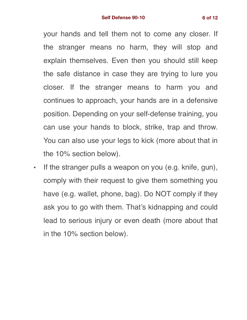your hands and tell them not to come any closer. If the stranger means no harm, they will stop and explain themselves. Even then you should still keep the safe distance in case they are trying to lure you closer. If the stranger means to harm you and continues to approach, your hands are in a defensive position. Depending on your self-defense training, you can use your hands to block, strike, trap and throw. You can also use your legs to kick (more about that in the 10% section below).

• If the stranger pulls a weapon on you (e.g. knife, gun), comply with their request to give them something you have (e.g. wallet, phone, bag). Do NOT comply if they ask you to go with them. That's kidnapping and could lead to serious injury or even death (more about that in the 10% section below).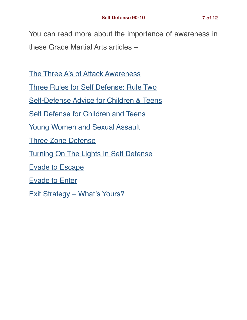You can read more about the importance of awareness in these Grace Martial Arts articles –

[The Three A's of Attack Awareness](https://gracemartialarts.com/2010/02/20/the-3-as-of-attack-awareness/)

[Three Rules for Self Defense: Rule Two](https://gracemartialarts.com/2018/09/15/three-rules-for-self-defense-rule-two/)

[Self-Defense Advice for Children & Teens](https://gracemartialarts.com/2018/05/21/self-defense-advice-for-children-teens/)

[Self Defense for Children and Teens](https://gracemartialarts.com/2018/07/07/self-defense-for-children-and-teens/)

[Young Women and Sexual Assault](https://gracemartialarts.com/2018/07/19/young-women-and-sexual-assault/)

[Three Zone Defense](https://gracemartialarts.com/2018/08/04/three-zone-defense-theory/)

[Turning On The Lights In Self Defense](https://gracemartialarts.com/2018/07/28/turning-on-the-lights-in-self-defense/)

[Evade to Escape](https://gracemartialarts.com/2018/06/16/evade-to-escape/)

[Evade to Enter](https://gracemartialarts.com/2018/06/23/evade-to-enter/)

[Exit Strategy – What's Yours?](https://gracemartialarts.com/2018/06/30/exit-strategy-whats-yours/)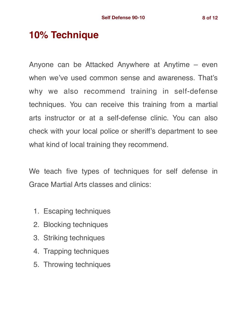## **10% Technique**

Anyone can be Attacked Anywhere at Anytime – even when we've used common sense and awareness. That's why we also recommend training in self-defense techniques. You can receive this training from a martial arts instructor or at a self-defense clinic. You can also check with your local police or sheriff's department to see what kind of local training they recommend.

We teach five types of techniques for self defense in Grace Martial Arts classes and clinics:

- 1. Escaping techniques
- 2. Blocking techniques
- 3. Striking techniques
- 4. Trapping techniques
- 5. Throwing techniques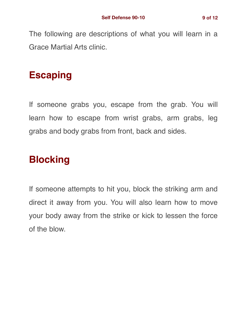The following are descriptions of what you will learn in a Grace Martial Arts clinic.

## **Escaping**

If someone grabs you, escape from the grab. You will learn how to escape from wrist grabs, arm grabs, leg grabs and body grabs from front, back and sides.

## **Blocking**

If someone attempts to hit you, block the striking arm and direct it away from you. You will also learn how to move your body away from the strike or kick to lessen the force of the blow.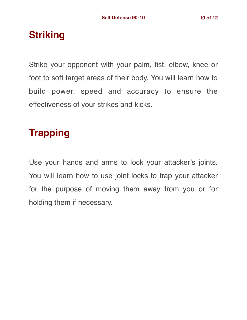## **Striking**

Strike your opponent with your palm, fist, elbow, knee or foot to soft target areas of their body. You will learn how to build power, speed and accuracy to ensure the effectiveness of your strikes and kicks.

## **Trapping**

Use your hands and arms to lock your attacker's joints. You will learn how to use joint locks to trap your attacker for the purpose of moving them away from you or for holding them if necessary.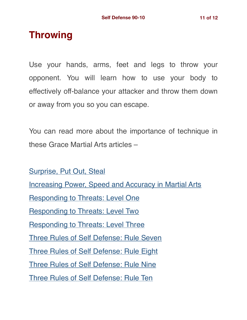#### **Throwing**

Use your hands, arms, feet and legs to throw your opponent. You will learn how to use your body to effectively off-balance your attacker and throw them down or away from you so you can escape.

You can read more about the importance of technique in these Grace Martial Arts articles –

[Surprise, Put Out, Steal](https://gracemartialarts.com/2018/05/19/s-p-s-surprise-put-out-steal/) [Increasing Power, Speed and Accuracy in Martial Arts](https://gracemartialarts.com/2018/05/26/increasing-power-speed-and-accuracy-in-martial-arts/) [Responding to Threats: Level One](https://gracemartialarts.com/2019/02/09/responding-to-threats-level-one/) [Responding to Threats: Level Two](https://gracemartialarts.com/2019/03/09/responding-to-threats-level-two/) [Responding to Threats: Level Three](https://gracemartialarts.com/2019/04/27/responding-to-threats-level-three/) [Three Rules of Self Defense: Rule Seven](https://gracemartialarts.com/2018/10/20/three-rules-for-self-defense-rule-seven/) [Three Rules of Self Defense: Rule Eight](https://gracemartialarts.com/2018/10/27/three-rules-for-self-defense-rule-eight/) [Three Rules of Self Defense: Rule Nine](https://gracemartialarts.com/2018/11/03/three-rules-for-self-defense-rule-nine/) [Three Rules of Self Defense: Rule Ten](https://gracemartialarts.com/2018/11/10/three-rules-for-self-defense-rule-ten/)